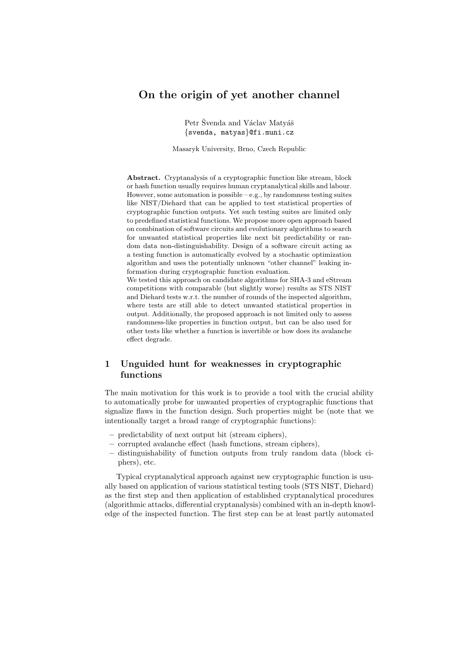# On the origin of yet another channel

Petr Švenda and Václav Matyáš {svenda, matyas}@fi.muni.cz

Masaryk University, Brno, Czech Republic

Abstract. Cryptanalysis of a cryptographic function like stream, block or hash function usually requires human cryptanalytical skills and labour. However, some automation is possible  $-e.g.,$  by randomness testing suites like NIST/Diehard that can be applied to test statistical properties of cryptographic function outputs. Yet such testing suites are limited only to predefined statistical functions. We propose more open approach based on combination of software circuits and evolutionary algorithms to search for unwanted statistical properties like next bit predictability or random data non-distinguishability. Design of a software circuit acting as a testing function is automatically evolved by a stochastic optimization algorithm and uses the potentially unknown "other channel" leaking information during cryptographic function evaluation.

We tested this approach on candidate algorithms for SHA-3 and eStream competitions with comparable (but slightly worse) results as STS NIST and Diehard tests w.r.t. the number of rounds of the inspected algorithm, where tests are still able to detect unwanted statistical properties in output. Additionally, the proposed approach is not limited only to assess randomness-like properties in function output, but can be also used for other tests like whether a function is invertible or how does its avalanche effect degrade.

# 1 Unguided hunt for weaknesses in cryptographic functions

The main motivation for this work is to provide a tool with the crucial ability to automatically probe for unwanted properties of cryptographic functions that signalize flaws in the function design. Such properties might be (note that we intentionally target a broad range of cryptographic functions):

- predictability of next output bit (stream ciphers),
- corrupted avalanche effect (hash functions, stream ciphers),
- distinguishability of function outputs from truly random data (block ciphers), etc.

Typical cryptanalytical approach against new cryptographic function is usually based on application of various statistical testing tools (STS NIST, Diehard) as the first step and then application of established cryptanalytical procedures (algorithmic attacks, differential cryptanalysis) combined with an in-depth knowledge of the inspected function. The first step can be at least partly automated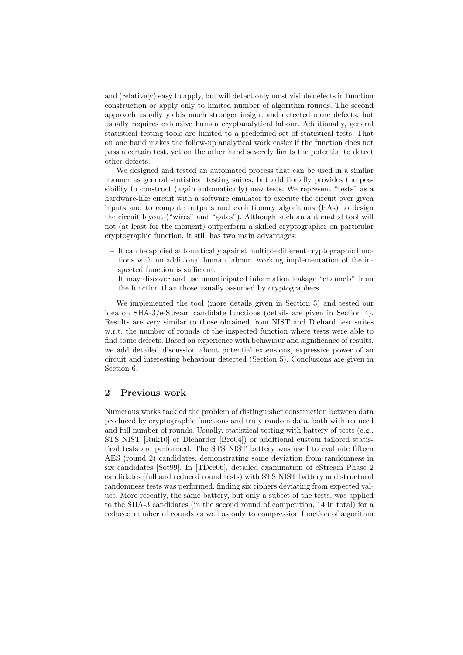and (relatively) easy to apply, but will detect only most visible defects in function construction or apply only to limited number of algorithm rounds. The second approach usually yields much stronger insight and detected more defects, but usually requires extensive human cryptanalytical labour. Additionally, general statistical testing tools are limited to a predefined set of statistical tests. That on one hand makes the follow-up analytical work easier if the function does not pass a certain test, yet on the other hand severely limits the potential to detect other defects.

We designed and tested an automated process that can be used in a similar manner as general statistical testing suites, but additionally provides the possibility to construct (again automatically) new tests. We represent "tests" as a hardware-like circuit with a software emulator to execute the circuit over given inputs and to compute outputs and evolutionary algorithms (EAs) to design the circuit layout ("wires" and "gates"). Although such an automated tool will not (at least for the moment) outperform a skilled cryptographer on particular cryptographic function, it still has two main advantages:

- It can be applied automatically against multiple different cryptographic functions with no additional human labour working implementation of the inspected function is sufficient.
- It may discover and use unanticipated information leakage "channels" from the function than those usually assumed by cryptographers.

We implemented the tool (more details given in Section 3) and tested our idea on SHA-3/e-Stream candidate functions (details are given in Section 4). Results are very similar to those obtained from NIST and Diehard test suites w.r.t. the number of rounds of the inspected function where tests were able to find some defects. Based on experience with behaviour and significance of results, we add detailed discussion about potential extensions, expressive power of an circuit and interesting behaviour detected (Section 5). Conclusions are given in Section 6.

## 2 Previous work

Numerous works tackled the problem of distinguisher construction between data produced by cryptographic functions and truly random data, both with reduced and full number of rounds. Usually, statistical testing with battery of tests (e.g., STS NIST [Ruk10] or Dieharder [Bro04]) or additional custom tailored statistical tests are performed. The STS NIST battery was used to evaluate fifteen AES (round 2) candidates, demonstrating some deviation from randomness in six candidates [Sot99]. In [TDcc06], detailed examination of eStream Phase 2 candidates (full and reduced round tests) with STS NIST battery and structural randomness tests was performed, finding six ciphers deviating from expected values. More recently, the same battery, but only a subset of the tests, was applied to the SHA-3 candidates (in the second round of competition, 14 in total) for a reduced number of rounds as well as only to compression function of algorithm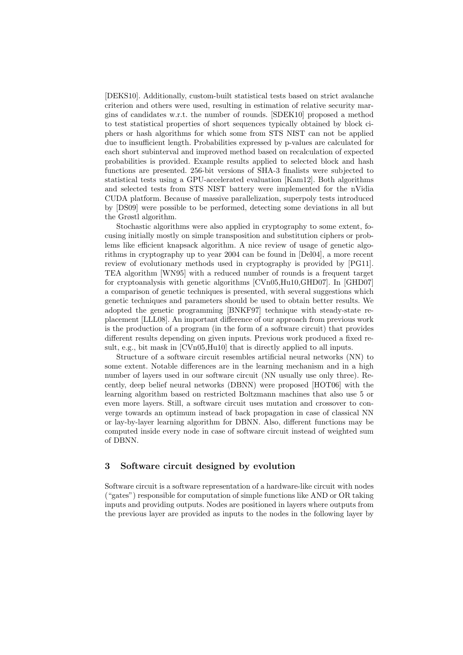[DEKS10]. Additionally, custom-built statistical tests based on strict avalanche criterion and others were used, resulting in estimation of relative security margins of candidates w.r.t. the number of rounds. [SDEK10] proposed a method to test statistical properties of short sequences typically obtained by block ciphers or hash algorithms for which some from STS NIST can not be applied due to insufficient length. Probabilities expressed by p-values are calculated for each short subinterval and improved method based on recalculation of expected probabilities is provided. Example results applied to selected block and hash functions are presented. 256-bit versions of SHA-3 finalists were subjected to statistical tests using a GPU-accelerated evaluation [Kam12]. Both algorithms and selected tests from STS NIST battery were implemented for the nVidia CUDA platform. Because of massive parallelization, superpoly tests introduced by [DS09] were possible to be performed, detecting some deviations in all but the Grøstl algorithm.

Stochastic algorithms were also applied in cryptography to some extent, focusing initially mostly on simple transposition and substitution ciphers or problems like efficient knapsack algorithm. A nice review of usage of genetic algorithms in cryptography up to year 2004 can be found in [Del04], a more recent review of evolutionary methods used in cryptography is provided by [PG11]. TEA algorithm [WN95] with a reduced number of rounds is a frequent target for cryptoanalysis with genetic algorithms [CVn05,Hu10,GHD07]. In [GHD07] a comparison of genetic techniques is presented, with several suggestions which genetic techniques and parameters should be used to obtain better results. We adopted the genetic programming [BNKF97] technique with steady-state replacement [LLL08]. An important difference of our approach from previous work is the production of a program (in the form of a software circuit) that provides different results depending on given inputs. Previous work produced a fixed result, e.g., bit mask in [CVn05,Hu10] that is directly applied to all inputs.

Structure of a software circuit resembles artificial neural networks (NN) to some extent. Notable differences are in the learning mechanism and in a high number of layers used in our software circuit (NN usually use only three). Recently, deep belief neural networks (DBNN) were proposed [HOT06] with the learning algorithm based on restricted Boltzmann machines that also use 5 or even more layers. Still, a software circuit uses mutation and crossover to converge towards an optimum instead of back propagation in case of classical NN or lay-by-layer learning algorithm for DBNN. Also, different functions may be computed inside every node in case of software circuit instead of weighted sum of DBNN.

### 3 Software circuit designed by evolution

Software circuit is a software representation of a hardware-like circuit with nodes ("gates") responsible for computation of simple functions like AND or OR taking inputs and providing outputs. Nodes are positioned in layers where outputs from the previous layer are provided as inputs to the nodes in the following layer by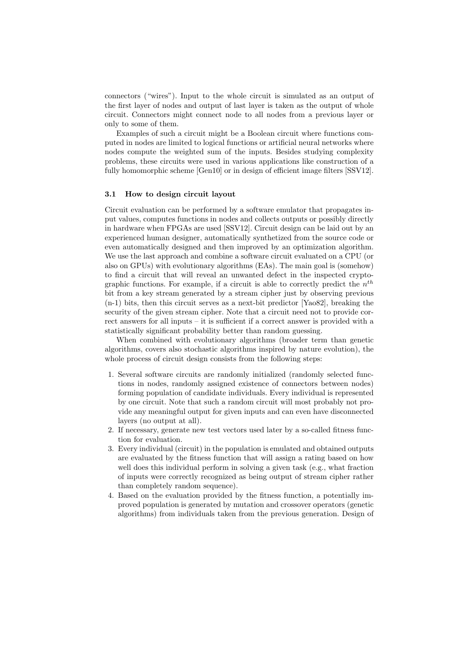connectors ("wires"). Input to the whole circuit is simulated as an output of the first layer of nodes and output of last layer is taken as the output of whole circuit. Connectors might connect node to all nodes from a previous layer or only to some of them.

Examples of such a circuit might be a Boolean circuit where functions computed in nodes are limited to logical functions or artificial neural networks where nodes compute the weighted sum of the inputs. Besides studying complexity problems, these circuits were used in various applications like construction of a fully homomorphic scheme [Gen10] or in design of efficient image filters [SSV12].

### 3.1 How to design circuit layout

Circuit evaluation can be performed by a software emulator that propagates input values, computes functions in nodes and collects outputs or possibly directly in hardware when FPGAs are used [SSV12]. Circuit design can be laid out by an experienced human designer, automatically synthetized from the source code or even automatically designed and then improved by an optimization algorithm. We use the last approach and combine a software circuit evaluated on a CPU (or also on GPUs) with evolutionary algorithms (EAs). The main goal is (somehow) to find a circuit that will reveal an unwanted defect in the inspected cryptographic functions. For example, if a circuit is able to correctly predict the  $n^{th}$ bit from a key stream generated by a stream cipher just by observing previous  $(n-1)$  bits, then this circuit serves as a next-bit predictor  $Ya<sub>0</sub>82$ , breaking the security of the given stream cipher. Note that a circuit need not to provide correct answers for all inputs – it is sufficient if a correct answer is provided with a statistically significant probability better than random guessing.

When combined with evolutionary algorithms (broader term than genetic algorithms, covers also stochastic algorithms inspired by nature evolution), the whole process of circuit design consists from the following steps:

- 1. Several software circuits are randomly initialized (randomly selected functions in nodes, randomly assigned existence of connectors between nodes) forming population of candidate individuals. Every individual is represented by one circuit. Note that such a random circuit will most probably not provide any meaningful output for given inputs and can even have disconnected layers (no output at all).
- 2. If necessary, generate new test vectors used later by a so-called fitness function for evaluation.
- 3. Every individual (circuit) in the population is emulated and obtained outputs are evaluated by the fitness function that will assign a rating based on how well does this individual perform in solving a given task (e.g., what fraction of inputs were correctly recognized as being output of stream cipher rather than completely random sequence).
- 4. Based on the evaluation provided by the fitness function, a potentially improved population is generated by mutation and crossover operators (genetic algorithms) from individuals taken from the previous generation. Design of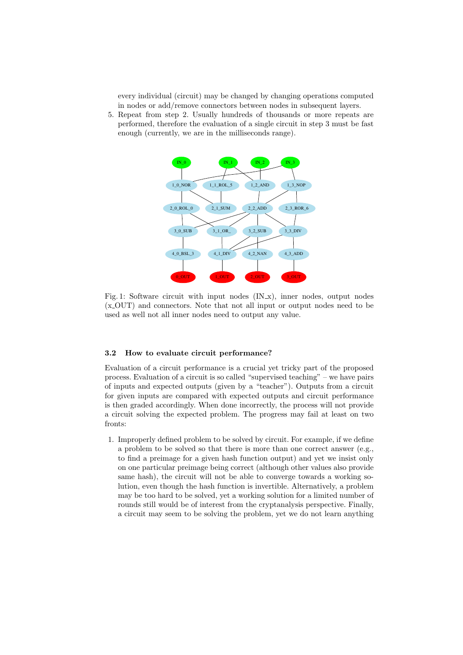every individual (circuit) may be changed by changing operations computed in nodes or add/remove connectors between nodes in subsequent layers.

5. Repeat from step 2. Usually hundreds of thousands or more repeats are performed, therefore the evaluation of a single circuit in step 3 must be fast enough (currently, we are in the milliseconds range).



Fig. 1: Software circuit with input nodes  $(IN_x)$ , inner nodes, output nodes (x OUT) and connectors. Note that not all input or output nodes need to be used as well not all inner nodes need to output any value.

#### 3.2 How to evaluate circuit performance?

Evaluation of a circuit performance is a crucial yet tricky part of the proposed process. Evaluation of a circuit is so called "supervised teaching" – we have pairs of inputs and expected outputs (given by a "teacher"). Outputs from a circuit for given inputs are compared with expected outputs and circuit performance is then graded accordingly. When done incorrectly, the process will not provide a circuit solving the expected problem. The progress may fail at least on two fronts:

1. Improperly defined problem to be solved by circuit. For example, if we define a problem to be solved so that there is more than one correct answer (e.g., to find a preimage for a given hash function output) and yet we insist only on one particular preimage being correct (although other values also provide same hash), the circuit will not be able to converge towards a working solution, even though the hash function is invertible. Alternatively, a problem may be too hard to be solved, yet a working solution for a limited number of rounds still would be of interest from the cryptanalysis perspective. Finally, a circuit may seem to be solving the problem, yet we do not learn anything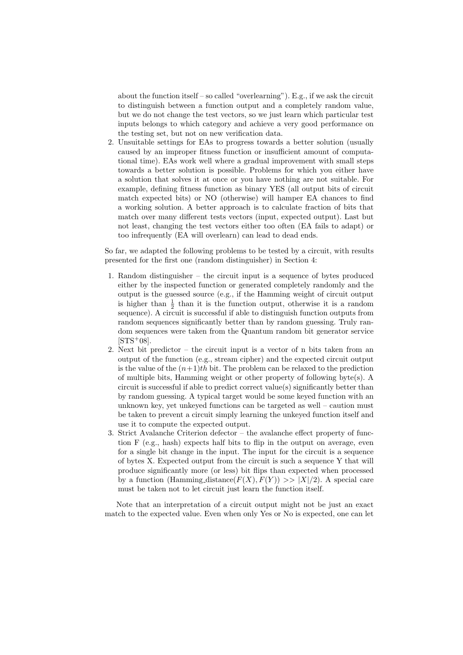about the function itself – so called "overlearning"). E.g., if we ask the circuit to distinguish between a function output and a completely random value, but we do not change the test vectors, so we just learn which particular test inputs belongs to which category and achieve a very good performance on the testing set, but not on new verification data.

2. Unsuitable settings for EAs to progress towards a better solution (usually caused by an improper fitness function or insufficient amount of computational time). EAs work well where a gradual improvement with small steps towards a better solution is possible. Problems for which you either have a solution that solves it at once or you have nothing are not suitable. For example, defining fitness function as binary YES (all output bits of circuit match expected bits) or NO (otherwise) will hamper EA chances to find a working solution. A better approach is to calculate fraction of bits that match over many different tests vectors (input, expected output). Last but not least, changing the test vectors either too often (EA fails to adapt) or too infrequently (EA will overlearn) can lead to dead ends.

So far, we adapted the following problems to be tested by a circuit, with results presented for the first one (random distinguisher) in Section 4:

- 1. Random distinguisher the circuit input is a sequence of bytes produced either by the inspected function or generated completely randomly and the output is the guessed source (e.g., if the Hamming weight of circuit output is higher than  $\frac{1}{2}$  than it is the function output, otherwise it is a random sequence). A circuit is successful if able to distinguish function outputs from random sequences significantly better than by random guessing. Truly random sequences were taken from the Quantum random bit generator service  $[STS+08]$ .
- 2. Next bit predictor the circuit input is a vector of n bits taken from an output of the function (e.g., stream cipher) and the expected circuit output is the value of the  $(n+1)th$  bit. The problem can be relaxed to the prediction of multiple bits, Hamming weight or other property of following byte(s). A circuit is successful if able to predict correct value(s) significantly better than by random guessing. A typical target would be some keyed function with an unknown key, yet unkeyed functions can be targeted as well – caution must be taken to prevent a circuit simply learning the unkeyed function itself and use it to compute the expected output.
- 3. Strict Avalanche Criterion defector the avalanche effect property of function F (e.g., hash) expects half bits to flip in the output on average, even for a single bit change in the input. The input for the circuit is a sequence of bytes X. Expected output from the circuit is such a sequence Y that will produce significantly more (or less) bit flips than expected when processed by a function (Hamming distance  $(F(X), F(Y)) >> |X|/2$ ). A special care must be taken not to let circuit just learn the function itself.

Note that an interpretation of a circuit output might not be just an exact match to the expected value. Even when only Yes or No is expected, one can let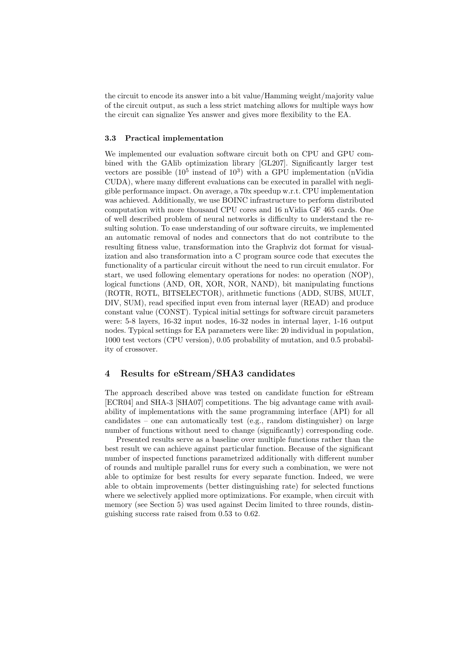the circuit to encode its answer into a bit value/Hamming weight/majority value of the circuit output, as such a less strict matching allows for multiple ways how the circuit can signalize Yes answer and gives more flexibility to the EA.

### 3.3 Practical implementation

We implemented our evaluation software circuit both on CPU and GPU combined with the GAlib optimization library [GL207]. Significantly larger test vectors are possible  $(10^5 \text{ instead of } 10^3)$  with a GPU implementation (nVidia CUDA), where many different evaluations can be executed in parallel with negligible performance impact. On average, a 70x speedup w.r.t. CPU implementation was achieved. Additionally, we use BOINC infrastructure to perform distributed computation with more thousand CPU cores and 16 nVidia GF 465 cards. One of well described problem of neural networks is difficulty to understand the resulting solution. To ease understanding of our software circuits, we implemented an automatic removal of nodes and connectors that do not contribute to the resulting fitness value, transformation into the Graphviz dot format for visualization and also transformation into a C program source code that executes the functionality of a particular circuit without the need to run circuit emulator. For start, we used following elementary operations for nodes: no operation (NOP), logical functions (AND, OR, XOR, NOR, NAND), bit manipulating functions (ROTR, ROTL, BITSELECTOR), arithmetic functions (ADD, SUBS, MULT, DIV, SUM), read specified input even from internal layer (READ) and produce constant value (CONST). Typical initial settings for software circuit parameters were: 5-8 layers, 16-32 input nodes, 16-32 nodes in internal layer, 1-16 output nodes. Typical settings for EA parameters were like: 20 individual in population, 1000 test vectors (CPU version), 0.05 probability of mutation, and 0.5 probability of crossover.

# 4 Results for eStream/SHA3 candidates

The approach described above was tested on candidate function for eStream [ECR04] and SHA-3 [SHA07] competitions. The big advantage came with availability of implementations with the same programming interface (API) for all candidates – one can automatically test (e.g., random distinguisher) on large number of functions without need to change (significantly) corresponding code.

Presented results serve as a baseline over multiple functions rather than the best result we can achieve against particular function. Because of the significant number of inspected functions parametrized additionally with different number of rounds and multiple parallel runs for every such a combination, we were not able to optimize for best results for every separate function. Indeed, we were able to obtain improvements (better distinguishing rate) for selected functions where we selectively applied more optimizations. For example, when circuit with memory (see Section 5) was used against Decim limited to three rounds, distinguishing success rate raised from 0.53 to 0.62.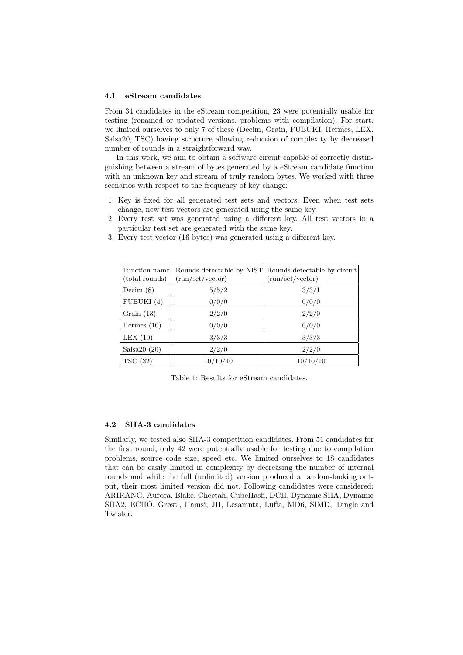#### 4.1 eStream candidates

From 34 candidates in the eStream competition, 23 were potentially usable for testing (renamed or updated versions, problems with compilation). For start, we limited ourselves to only 7 of these (Decim, Grain, FUBUKI, Hermes, LEX, Salsa20, TSC) having structure allowing reduction of complexity by decreased number of rounds in a straightforward way.

In this work, we aim to obtain a software circuit capable of correctly distinguishing between a stream of bytes generated by a eStream candidate function with an unknown key and stream of truly random bytes. We worked with three scenarios with respect to the frequency of key change:

- 1. Key is fixed for all generated test sets and vectors. Even when test sets change, new test vectors are generated using the same key.
- 2. Every test set was generated using a different key. All test vectors in a particular test set are generated with the same key.
- 3. Every test vector (16 bytes) was generated using a different key.

| Function name<br>(total rounds) | Rounds detectable by NIST<br>(run/set/vector) | Rounds detectable by circuit<br>(run/set/vector) |
|---------------------------------|-----------------------------------------------|--------------------------------------------------|
| Decim $(8)$                     | 5/5/2                                         | 3/3/1                                            |
| FUBUKI (4)                      | 0/0/0                                         | 0/0/0                                            |
| Grain $(13)$                    | 2/2/0                                         | 2/2/0                                            |
| Hermes $(10)$                   | 0/0/0                                         | 0/0/0                                            |
| LEX(10)                         | 3/3/3                                         | 3/3/3                                            |
| Salsa $20(20)$                  | 2/2/0                                         | 2/2/0                                            |
| TSC (32)                        | 10/10/10                                      | 10/10/10                                         |

Table 1: Results for eStream candidates.

# 4.2 SHA-3 candidates

Similarly, we tested also SHA-3 competition candidates. From 51 candidates for the first round, only 42 were potentially usable for testing due to compilation problems, source code size, speed etc. We limited ourselves to 18 candidates that can be easily limited in complexity by decreasing the number of internal rounds and while the full (unlimited) version produced a random-looking output, their most limited version did not. Following candidates were considered: ARIRANG, Aurora, Blake, Cheetah, CubeHash, DCH, Dynamic SHA, Dynamic SHA2, ECHO, Grøstl, Hamsi, JH, Lesamnta, Luffa, MD6, SIMD, Tangle and Twister.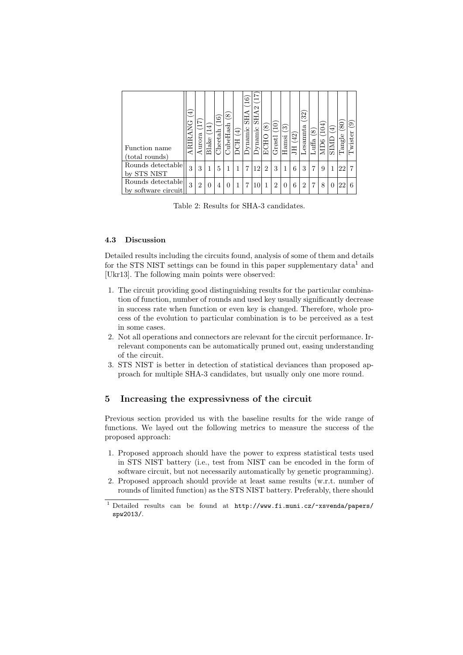| Function name<br>(total rounds)          | ↤<br>75<br>ARIRAN | Aurora         | $\left( \frac{4}{3} \right)$<br>Blake | $\widehat{16}$<br>Cheetah | $\widehat{\infty}$<br>$\mathbb{C}$ ube $\rm{Hash}$ | $\bigoplus$<br>FO | $\overline{16}$<br><b>SHA</b><br>Jynamic | 42<br><b>SH</b><br><b>ynamic</b> | $\widetilde{\mathcal{E}}$<br>ECHO | $\Xi$<br>Grøstl | $\widehat{\mathfrak{m}}$<br>Hamsi | (42)<br>H | (32)<br>Lesamnta | $\circledast$<br>Luffa | (104)<br>MD <sub>6</sub> | ਚ<br>SIMID | (08)<br>Tangle | ම<br>Twister |
|------------------------------------------|-------------------|----------------|---------------------------------------|---------------------------|----------------------------------------------------|-------------------|------------------------------------------|----------------------------------|-----------------------------------|-----------------|-----------------------------------|-----------|------------------|------------------------|--------------------------|------------|----------------|--------------|
| Rounds detectable<br>by STS NIST         | 3                 | 3              | 1                                     | 5                         | 1                                                  |                   | 7                                        | 12 <sub>1</sub>                  | $\overline{2}$                    | 3               | 1                                 | 6         | 3                | 7                      | 9                        | 1          | 22             | 7            |
| Rounds detectable<br>by software circuit | 3                 | $\overline{2}$ | $\theta$                              | 4                         | 0                                                  |                   | 7                                        | 10                               | 1                                 | $\overline{2}$  | $\Omega$                          | 6         | $\overline{2}$   | 7                      | 8                        | 0          | 22             | 6            |

Table 2: Results for SHA-3 candidates.

### 4.3 Discussion

Detailed results including the circuits found, analysis of some of them and details for the STS NIST settings can be found in this paper supplementary data<sup>1</sup> and [Ukr13]. The following main points were observed:

- 1. The circuit providing good distinguishing results for the particular combination of function, number of rounds and used key usually significantly decrease in success rate when function or even key is changed. Therefore, whole process of the evolution to particular combination is to be perceived as a test in some cases.
- 2. Not all operations and connectors are relevant for the circuit performance. Irrelevant components can be automatically pruned out, easing understanding of the circuit.
- 3. STS NIST is better in detection of statistical deviances than proposed approach for multiple SHA-3 candidates, but usually only one more round.

## 5 Increasing the expressivness of the circuit

Previous section provided us with the baseline results for the wide range of functions. We layed out the following metrics to measure the success of the proposed approach:

- 1. Proposed approach should have the power to express statistical tests used in STS NIST battery (i.e., test from NIST can be encoded in the form of software circuit, but not necessarily automatically by genetic programming).
- 2. Proposed approach should provide at least same results (w.r.t. number of rounds of limited function) as the STS NIST battery. Preferably, there should

<sup>1</sup> Detailed results can be found at http://www.fi.muni.cz/~xsvenda/papers/ spw2013/.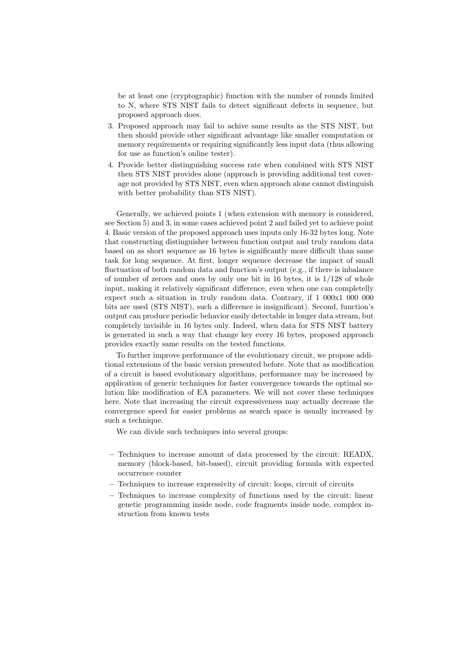be at least one (cryptographic) function with the number of rounds limited to N, where STS NIST fails to detect significant defects in sequence, but proposed approach does.

- 3. Proposed approach may fail to achive same results as the STS NIST, but then should provide other significant advantage like smaller computation or memory requirements or requiring significantly less input data (thus allowing for use as function's online tester).
- 4. Provide better distinguishing success rate when combined with STS NIST then STS NIST provides alone (approach is providing additional test coverage not provided by STS NIST, even when approach alone cannot distinguish with better probability than STS NIST).

Generally, we achieved points 1 (when extension with memory is considered, see Section 5) and 3, in some cases achieved point 2 and failed yet to achieve point 4. Basic version of the proposed approach uses inputs only 16-32 bytes long. Note that constructing distinguisher between function output and truly random data based on as short sequence as 16 bytes is significantly more difficult than same task for long sequence. At first, longer sequence decrease the impact of small fluctuation of both random data and function's output (e.g., if there is inbalance of number of zeroes and ones by only one bit in 16 bytes, it is  $1/128$  of whole input, making it relatively significant difference, even when one can completelly expect such a situation in truly random data. Contrary, if 1 000x1 000 000 bits are used (STS NIST), such a difference is insignificant). Second, function's output can produce periodic behavior easily detectable in longer data stream, but completely invisible in 16 bytes only. Indeed, when data for STS NIST battery is generated in such a way that change key every 16 bytes, proposed approach provides exactly same results on the tested functions.

To further improve performance of the evolutionary circuit, we propose additional extensions of the basic version presented before. Note that as modification of a circuit is based evolutionary algorithms, performance may be increased by application of generic techniques for faster convergence towards the optimal solution like modification of EA parameters. We will not cover these techniques here. Note that increasing the circuit expressiveness may actually decrease the convergence speed for easier problems as search space is usually increased by such a technique.

We can divide such techniques into several groups:

- Techniques to increase amount of data processed by the circuit: READX, memory (block-based, bit-based), circuit providing formula with expected occurrence counter
- Techniques to increase expressivity of circuit: loops, circuit of circuits
- Techniques to increase complexity of functions used by the circuit: linear genetic programming inside node, code fragments inside node, complex instruction from known tests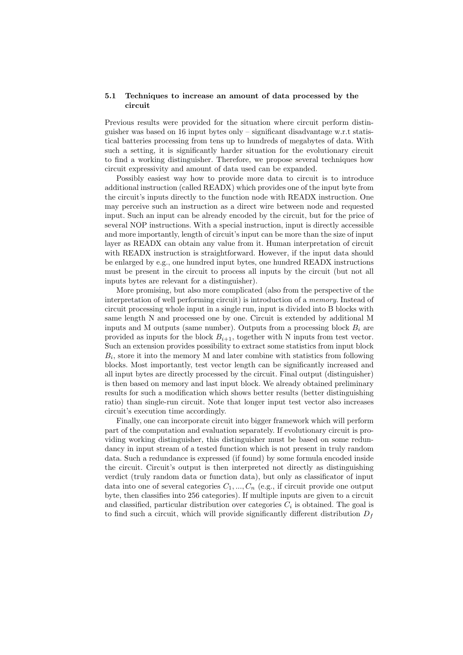### 5.1 Techniques to increase an amount of data processed by the circuit

Previous results were provided for the situation where circuit perform distinguisher was based on 16 input bytes only – significant disadvantage w.r.t statistical batteries processing from tens up to hundreds of megabytes of data. With such a setting, it is significantly harder situation for the evolutionary circuit to find a working distinguisher. Therefore, we propose several techniques how circuit expressivity and amount of data used can be expanded.

Possibly easiest way how to provide more data to circuit is to introduce additional instruction (called READX) which provides one of the input byte from the circuit's inputs directly to the function node with READX instruction. One may perceive such an instruction as a direct wire between node and requested input. Such an input can be already encoded by the circuit, but for the price of several NOP instructions. With a special instruction, input is directly accessible and more importantly, length of circuit's input can be more than the size of input layer as READX can obtain any value from it. Human interpretation of circuit with READX instruction is straightforward. However, if the input data should be enlarged by e.g., one hundred input bytes, one hundred READX instructions must be present in the circuit to process all inputs by the circuit (but not all inputs bytes are relevant for a distinguisher).

More promising, but also more complicated (also from the perspective of the interpretation of well performing circuit) is introduction of a memory. Instead of circuit processing whole input in a single run, input is divided into B blocks with same length N and processed one by one. Circuit is extended by additional M inputs and M outputs (same number). Outputs from a processing block  $B_i$  are provided as inputs for the block  $B_{i+1}$ , together with N inputs from test vector. Such an extension provides possibility to extract some statistics from input block  $B_i$ , store it into the memory M and later combine with statistics from following blocks. Most importantly, test vector length can be significantly increased and all input bytes are directly processed by the circuit. Final output (distinguisher) is then based on memory and last input block. We already obtained preliminary results for such a modification which shows better results (better distinguishing ratio) than single-run circuit. Note that longer input test vector also increases circuit's execution time accordingly.

Finally, one can incorporate circuit into bigger framework which will perform part of the computation and evaluation separately. If evolutionary circuit is providing working distinguisher, this distinguisher must be based on some redundancy in input stream of a tested function which is not present in truly random data. Such a redundance is expressed (if found) by some formula encoded inside the circuit. Circuit's output is then interpreted not directly as distinguishing verdict (truly random data or function data), but only as classificator of input data into one of several categories  $C_1, ..., C_n$  (e.g., if circuit provide one output byte, then classifies into 256 categories). If multiple inputs are given to a circuit and classified, particular distribution over categories  $C_i$  is obtained. The goal is to find such a circuit, which will provide significantly different distribution  $D_f$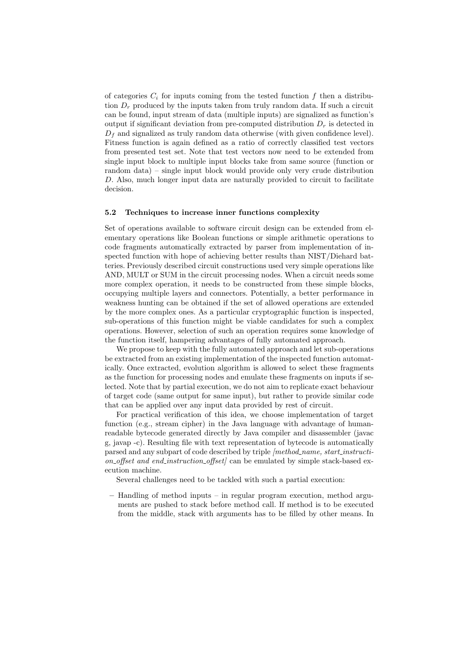of categories  $C_i$  for inputs coming from the tested function f then a distribution  $D_r$  produced by the inputs taken from truly random data. If such a circuit can be found, input stream of data (multiple inputs) are signalized as function's output if significant deviation from pre-computed distribution  $D_r$  is detected in  $D_f$  and signalized as truly random data otherwise (with given confidence level). Fitness function is again defined as a ratio of correctly classified test vectors from presented test set. Note that test vectors now need to be extended from single input block to multiple input blocks take from same source (function or random data) – single input block would provide only very crude distribution D. Also, much longer input data are naturally provided to circuit to facilitate decision.

#### 5.2 Techniques to increase inner functions complexity

Set of operations available to software circuit design can be extended from elementary operations like Boolean functions or simple arithmetic operations to code fragments automatically extracted by parser from implementation of inspected function with hope of achieving better results than NIST/Diehard batteries. Previously described circuit constructions used very simple operations like AND, MULT or SUM in the circuit processing nodes. When a circuit needs some more complex operation, it needs to be constructed from these simple blocks, occupying multiple layers and connectors. Potentially, a better performance in weakness hunting can be obtained if the set of allowed operations are extended by the more complex ones. As a particular cryptographic function is inspected, sub-operations of this function might be viable candidates for such a complex operations. However, selection of such an operation requires some knowledge of the function itself, hampering advantages of fully automated approach.

We propose to keep with the fully automated approach and let sub-operations be extracted from an existing implementation of the inspected function automatically. Once extracted, evolution algorithm is allowed to select these fragments as the function for processing nodes and emulate these fragments on inputs if selected. Note that by partial execution, we do not aim to replicate exact behaviour of target code (same output for same input), but rather to provide similar code that can be applied over any input data provided by rest of circuit.

For practical verification of this idea, we choose implementation of target function (e.g., stream cipher) in the Java language with advantage of humanreadable bytecode generated directly by Java compiler and disassembler (javac g, javap -c). Resulting file with text representation of bytecode is automatically parsed and any subpart of code described by triple *[method\_name, start\_instructi*on offset and end instruction offset can be emulated by simple stack-based execution machine.

Several challenges need to be tackled with such a partial execution:

– Handling of method inputs – in regular program execution, method arguments are pushed to stack before method call. If method is to be executed from the middle, stack with arguments has to be filled by other means. In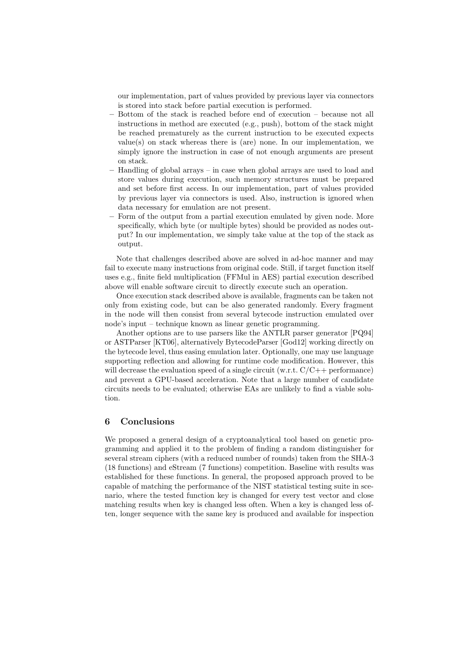our implementation, part of values provided by previous layer via connectors is stored into stack before partial execution is performed.

- Bottom of the stack is reached before end of execution because not all instructions in method are executed (e.g., push), bottom of the stack might be reached prematurely as the current instruction to be executed expects value(s) on stack whereas there is (are) none. In our implementation, we simply ignore the instruction in case of not enough arguments are present on stack.
- Handling of global arrays in case when global arrays are used to load and store values during execution, such memory structures must be prepared and set before first access. In our implementation, part of values provided by previous layer via connectors is used. Also, instruction is ignored when data necessary for emulation are not present.
- Form of the output from a partial execution emulated by given node. More specifically, which byte (or multiple bytes) should be provided as nodes output? In our implementation, we simply take value at the top of the stack as output.

Note that challenges described above are solved in ad-hoc manner and may fail to execute many instructions from original code. Still, if target function itself uses e.g., finite field multiplication (FFMul in AES) partial execution described above will enable software circuit to directly execute such an operation.

Once execution stack described above is available, fragments can be taken not only from existing code, but can be also generated randomly. Every fragment in the node will then consist from several bytecode instruction emulated over node's input – technique known as linear genetic programming.

Another options are to use parsers like the ANTLR parser generator [PQ94] or ASTParser [KT06], alternatively BytecodeParser [God12] working directly on the bytecode level, thus easing emulation later. Optionally, one may use language supporting reflection and allowing for runtime code modification. However, this will decrease the evaluation speed of a single circuit (w.r.t.  $C/C++$  performance) and prevent a GPU-based acceleration. Note that a large number of candidate circuits needs to be evaluated; otherwise EAs are unlikely to find a viable solution.

# 6 Conclusions

We proposed a general design of a cryptoanalytical tool based on genetic programming and applied it to the problem of finding a random distinguisher for several stream ciphers (with a reduced number of rounds) taken from the SHA-3 (18 functions) and eStream (7 functions) competition. Baseline with results was established for these functions. In general, the proposed approach proved to be capable of matching the performance of the NIST statistical testing suite in scenario, where the tested function key is changed for every test vector and close matching results when key is changed less often. When a key is changed less often, longer sequence with the same key is produced and available for inspection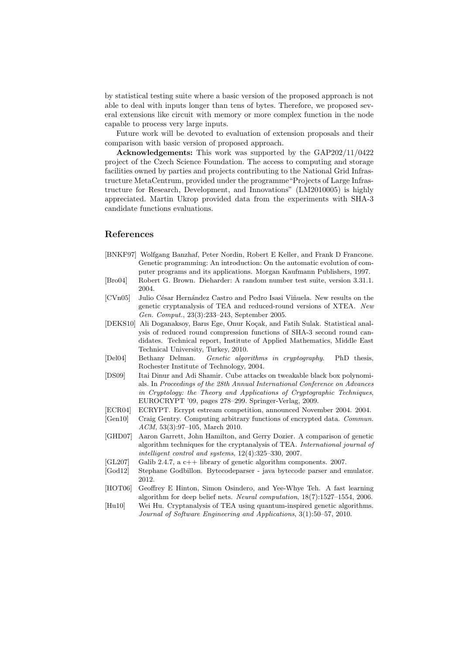by statistical testing suite where a basic version of the proposed approach is not able to deal with inputs longer than tens of bytes. Therefore, we proposed several extensions like circuit with memory or more complex function in the node capable to process very large inputs.

Future work will be devoted to evaluation of extension proposals and their comparison with basic version of proposed approach.

Acknowledgements: This work was supported by the GAP202/11/0422 project of the Czech Science Foundation. The access to computing and storage facilities owned by parties and projects contributing to the National Grid Infrastructure MetaCentrum, provided under the programme"Projects of Large Infrastructure for Research, Development, and Innovations" (LM2010005) is highly appreciated. Martin Ukrop provided data from the experiments with SHA-3 candidate functions evaluations.

# References

- [BNKF97] Wolfgang Banzhaf, Peter Nordin, Robert E Keller, and Frank D Francone. Genetic programming: An introduction: On the automatic evolution of computer programs and its applications. Morgan Kaufmann Publishers, 1997.
- [Bro04] Robert G. Brown. Dieharder: A random number test suite, version 3.31.1. 2004.
- [CVn05] Julio César Hernández Castro and Pedro Isasi Viñuela. New results on the genetic cryptanalysis of TEA and reduced-round versions of XTEA. New Gen. Comput., 23(3):233–243, September 2005.
- [DEKS10] Ali Doganaksoy, Barıs Ege, Onur Koçak, and Fatih Sulak. Statistical analysis of reduced round compression functions of SHA-3 second round candidates. Technical report, Institute of Applied Mathematics, Middle East Technical University, Turkey, 2010.
- [Del04] Bethany Delman. Genetic algorithms in cryptography. PhD thesis, Rochester Institute of Technology, 2004.
- [DS09] Itai Dinur and Adi Shamir. Cube attacks on tweakable black box polynomials. In Proceedings of the 28th Annual International Conference on Advances in Cryptology: the Theory and Applications of Cryptographic Techniques, EUROCRYPT '09, pages 278–299. Springer-Verlag, 2009.
- [ECR04] ECRYPT. Ecrypt estream competition, announced November 2004. 2004.
- [Gen10] Craig Gentry. Computing arbitrary functions of encrypted data. Commun. ACM, 53(3):97–105, March 2010.
- [GHD07] Aaron Garrett, John Hamilton, and Gerry Dozier. A comparison of genetic algorithm techniques for the cryptanalysis of TEA. International journal of intelligent control and systems, 12(4):325–330, 2007.
- [GL207] Galib 2.4.7, a c++ library of genetic algorithm components. 2007.
- [God12] Stephane Godbillon. Bytecodeparser java bytecode parser and emulator. 2012.
- [HOT06] Geoffrey E Hinton, Simon Osindero, and Yee-Whye Teh. A fast learning algorithm for deep belief nets. Neural computation, 18(7):1527–1554, 2006.
- [Hu10] Wei Hu. Cryptanalysis of TEA using quantum-inspired genetic algorithms. Journal of Software Engineering and Applications, 3(1):50–57, 2010.